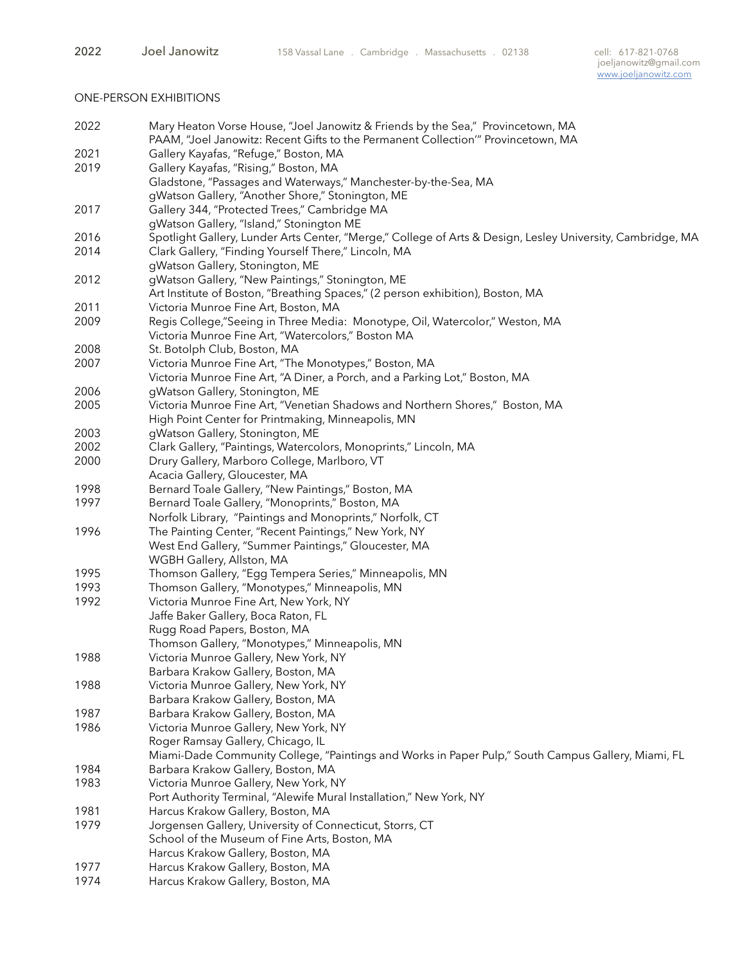## ONE-PERSON EXHIBITIONS

| 2022 | Mary Heaton Vorse House, "Joel Janowitz & Friends by the Sea," Provincetown, MA<br>PAAM, "Joel Janowitz: Recent Gifts to the Permanent Collection" Provincetown, MA |
|------|---------------------------------------------------------------------------------------------------------------------------------------------------------------------|
| 2021 | Gallery Kayafas, "Refuge," Boston, MA                                                                                                                               |
| 2019 | Gallery Kayafas, "Rising," Boston, MA                                                                                                                               |
|      | Gladstone, "Passages and Waterways," Manchester-by-the-Sea, MA                                                                                                      |
|      | gWatson Gallery, "Another Shore," Stonington, ME                                                                                                                    |
| 2017 | Gallery 344, "Protected Trees," Cambridge MA                                                                                                                        |
|      | gWatson Gallery, "Island," Stonington ME                                                                                                                            |
| 2016 | Spotlight Gallery, Lunder Arts Center, "Merge," College of Arts & Design, Lesley University, Cambridge, MA                                                          |
| 2014 | Clark Gallery, "Finding Yourself There," Lincoln, MA                                                                                                                |
|      | gWatson Gallery, Stonington, ME                                                                                                                                     |
| 2012 | gWatson Gallery, "New Paintings," Stonington, ME                                                                                                                    |
|      | Art Institute of Boston, "Breathing Spaces," (2 person exhibition), Boston, MA                                                                                      |
| 2011 | Victoria Munroe Fine Art, Boston, MA                                                                                                                                |
| 2009 | Regis College,"Seeing in Three Media: Monotype, Oil, Watercolor," Weston, MA                                                                                        |
|      | Victoria Munroe Fine Art, "Watercolors," Boston MA                                                                                                                  |
| 2008 | St. Botolph Club, Boston, MA                                                                                                                                        |
| 2007 | Victoria Munroe Fine Art, "The Monotypes," Boston, MA                                                                                                               |
|      | Victoria Munroe Fine Art, "A Diner, a Porch, and a Parking Lot," Boston, MA                                                                                         |
| 2006 | gWatson Gallery, Stonington, ME                                                                                                                                     |
| 2005 | Victoria Munroe Fine Art, "Venetian Shadows and Northern Shores," Boston, MA                                                                                        |
|      | High Point Center for Printmaking, Minneapolis, MN                                                                                                                  |
| 2003 | gWatson Gallery, Stonington, ME                                                                                                                                     |
| 2002 | Clark Gallery, "Paintings, Watercolors, Monoprints," Lincoln, MA                                                                                                    |
| 2000 | Drury Gallery, Marboro College, Marlboro, VT                                                                                                                        |
|      | Acacia Gallery, Gloucester, MA                                                                                                                                      |
| 1998 | Bernard Toale Gallery, "New Paintings," Boston, MA                                                                                                                  |
| 1997 | Bernard Toale Gallery, "Monoprints," Boston, MA                                                                                                                     |
|      | Norfolk Library, "Paintings and Monoprints," Norfolk, CT                                                                                                            |
| 1996 | The Painting Center, "Recent Paintings," New York, NY                                                                                                               |
|      | West End Gallery, "Summer Paintings," Gloucester, MA                                                                                                                |
|      | WGBH Gallery, Allston, MA                                                                                                                                           |
| 1995 | Thomson Gallery, "Egg Tempera Series," Minneapolis, MN                                                                                                              |
| 1993 | Thomson Gallery, "Monotypes," Minneapolis, MN                                                                                                                       |
| 1992 | Victoria Munroe Fine Art, New York, NY                                                                                                                              |
|      | Jaffe Baker Gallery, Boca Raton, FL                                                                                                                                 |
|      | Rugg Road Papers, Boston, MA                                                                                                                                        |
|      | Thomson Gallery, "Monotypes," Minneapolis, MN                                                                                                                       |
| 1988 | Victoria Munroe Gallery, New York, NY                                                                                                                               |
|      | Barbara Krakow Gallery, Boston, MA                                                                                                                                  |
| 1988 | Victoria Munroe Gallery, New York, NY                                                                                                                               |
|      | Barbara Krakow Gallery, Boston, MA                                                                                                                                  |
| 1987 | Barbara Krakow Gallery, Boston, MA                                                                                                                                  |
| 1986 | Victoria Munroe Gallery, New York, NY                                                                                                                               |
|      | Roger Ramsay Gallery, Chicago, IL                                                                                                                                   |
|      | Miami-Dade Community College, "Paintings and Works in Paper Pulp," South Campus Gallery, Miami, FL                                                                  |
| 1984 | Barbara Krakow Gallery, Boston, MA                                                                                                                                  |
| 1983 | Victoria Munroe Gallery, New York, NY                                                                                                                               |
|      | Port Authority Terminal, "Alewife Mural Installation," New York, NY                                                                                                 |
| 1981 | Harcus Krakow Gallery, Boston, MA                                                                                                                                   |
| 1979 | Jorgensen Gallery, University of Connecticut, Storrs, CT                                                                                                            |
|      | School of the Museum of Fine Arts, Boston, MA                                                                                                                       |
|      | Harcus Krakow Gallery, Boston, MA                                                                                                                                   |
| 1977 | Harcus Krakow Gallery, Boston, MA                                                                                                                                   |
| 1974 | Harcus Krakow Gallery, Boston, MA                                                                                                                                   |
|      |                                                                                                                                                                     |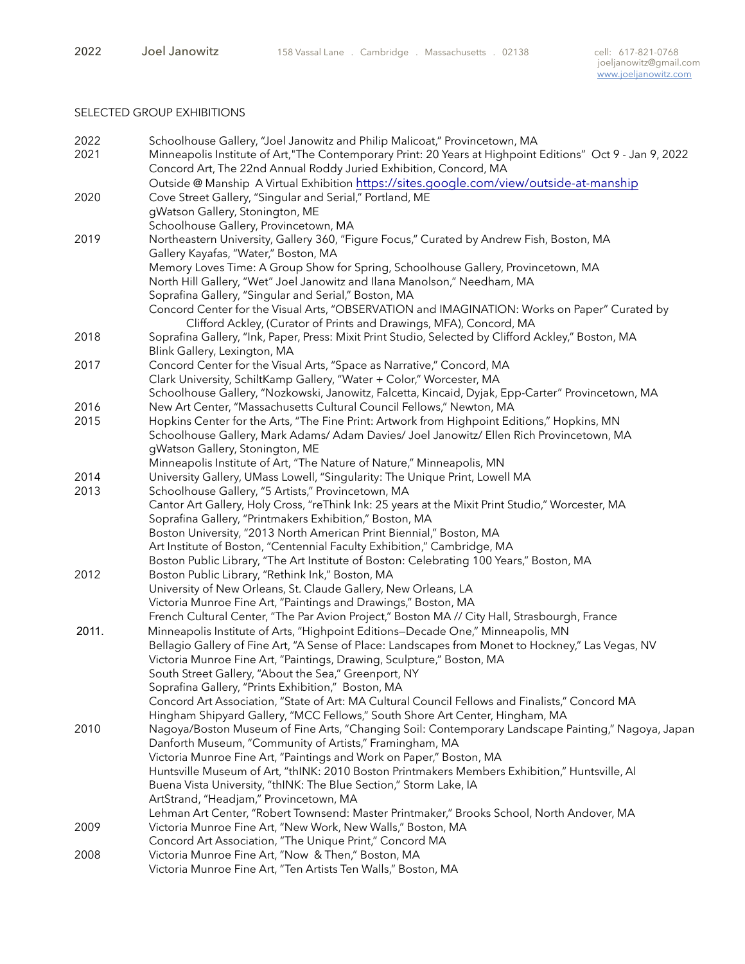# SELECTED GROUP EXHIBITIONS

| 2022  | Schoolhouse Gallery, "Joel Janowitz and Philip Malicoat," Provincetown, MA                                 |
|-------|------------------------------------------------------------------------------------------------------------|
| 2021  | Minneapolis Institute of Art, "The Contemporary Print: 20 Years at Highpoint Editions" Oct 9 - Jan 9, 2022 |
|       | Concord Art, The 22nd Annual Roddy Juried Exhibition, Concord, MA                                          |
|       | Outside @ Manship A Virtual Exhibition https://sites.google.com/view/outside-at-manship                    |
| 2020  | Cove Street Gallery, "Singular and Serial," Portland, ME                                                   |
|       | gWatson Gallery, Stonington, ME                                                                            |
|       |                                                                                                            |
|       | Schoolhouse Gallery, Provincetown, MA                                                                      |
| 2019  | Northeastern University, Gallery 360, "Figure Focus," Curated by Andrew Fish, Boston, MA                   |
|       | Gallery Kayafas, "Water," Boston, MA                                                                       |
|       | Memory Loves Time: A Group Show for Spring, Schoolhouse Gallery, Provincetown, MA                          |
|       | North Hill Gallery, "Wet" Joel Janowitz and Ilana Manolson," Needham, MA                                   |
|       | Soprafina Gallery, "Singular and Serial," Boston, MA                                                       |
|       | Concord Center for the Visual Arts, "OBSERVATION and IMAGINATION: Works on Paper" Curated by               |
|       | Clifford Ackley, (Curator of Prints and Drawings, MFA), Concord, MA                                        |
| 2018  | Soprafina Gallery, "Ink, Paper, Press: Mixit Print Studio, Selected by Clifford Ackley," Boston, MA        |
|       | Blink Gallery, Lexington, MA                                                                               |
| 2017  | Concord Center for the Visual Arts, "Space as Narrative," Concord, MA                                      |
|       | Clark University, SchiltKamp Gallery, "Water + Color," Worcester, MA                                       |
|       | Schoolhouse Gallery, "Nozkowski, Janowitz, Falcetta, Kincaid, Dyjak, Epp-Carter" Provincetown, MA          |
| 2016  | New Art Center, "Massachusetts Cultural Council Fellows," Newton, MA                                       |
| 2015  | Hopkins Center for the Arts, "The Fine Print: Artwork from Highpoint Editions," Hopkins, MN                |
|       | Schoolhouse Gallery, Mark Adams/ Adam Davies/ Joel Janowitz/ Ellen Rich Provincetown, MA                   |
|       | gWatson Gallery, Stonington, ME                                                                            |
|       | Minneapolis Institute of Art, "The Nature of Nature," Minneapolis, MN                                      |
| 2014  | University Gallery, UMass Lowell, "Singularity: The Unique Print, Lowell MA                                |
| 2013  | Schoolhouse Gallery, "5 Artists," Provincetown, MA                                                         |
|       | Cantor Art Gallery, Holy Cross, "reThink Ink: 25 years at the Mixit Print Studio," Worcester, MA           |
|       | Soprafina Gallery, "Printmakers Exhibition," Boston, MA                                                    |
|       | Boston University, "2013 North American Print Biennial," Boston, MA                                        |
|       | Art Institute of Boston, "Centennial Faculty Exhibition," Cambridge, MA                                    |
|       | Boston Public Library, "The Art Institute of Boston: Celebrating 100 Years," Boston, MA                    |
| 2012  | Boston Public Library, "Rethink Ink," Boston, MA                                                           |
|       | University of New Orleans, St. Claude Gallery, New Orleans, LA                                             |
|       | Victoria Munroe Fine Art, "Paintings and Drawings," Boston, MA                                             |
|       | French Cultural Center, "The Par Avion Project," Boston MA // City Hall, Strasbourgh, France               |
|       |                                                                                                            |
| 2011. | Minneapolis Institute of Arts, "Highpoint Editions–Decade One," Minneapolis, MN                            |
|       | Bellagio Gallery of Fine Art, "A Sense of Place: Landscapes from Monet to Hockney," Las Vegas, NV          |
|       | Victoria Munroe Fine Art, "Paintings, Drawing, Sculpture," Boston, MA                                      |
|       | South Street Gallery, "About the Sea," Greenport, NY                                                       |
|       | Soprafina Gallery, "Prints Exhibition," Boston, MA                                                         |
|       | Concord Art Association, "State of Art: MA Cultural Council Fellows and Finalists," Concord MA             |
|       | Hingham Shipyard Gallery, "MCC Fellows," South Shore Art Center, Hingham, MA                               |
| 2010  | Nagoya/Boston Museum of Fine Arts, "Changing Soil: Contemporary Landscape Painting," Nagoya, Japan         |
|       | Danforth Museum, "Community of Artists," Framingham, MA                                                    |
|       | Victoria Munroe Fine Art, "Paintings and Work on Paper," Boston, MA                                        |
|       | Huntsville Museum of Art, "thINK: 2010 Boston Printmakers Members Exhibition," Huntsville, Al              |
|       | Buena Vista University, "thINK: The Blue Section," Storm Lake, IA                                          |
|       | ArtStrand, "Headjam," Provincetown, MA                                                                     |
|       | Lehman Art Center, "Robert Townsend: Master Printmaker," Brooks School, North Andover, MA                  |
| 2009  | Victoria Munroe Fine Art, "New Work, New Walls," Boston, MA                                                |
|       | Concord Art Association, "The Unique Print," Concord MA                                                    |
| 2008  | Victoria Munroe Fine Art, "Now & Then," Boston, MA                                                         |
|       | Victoria Munroe Fine Art, "Ten Artists Ten Walls," Boston, MA                                              |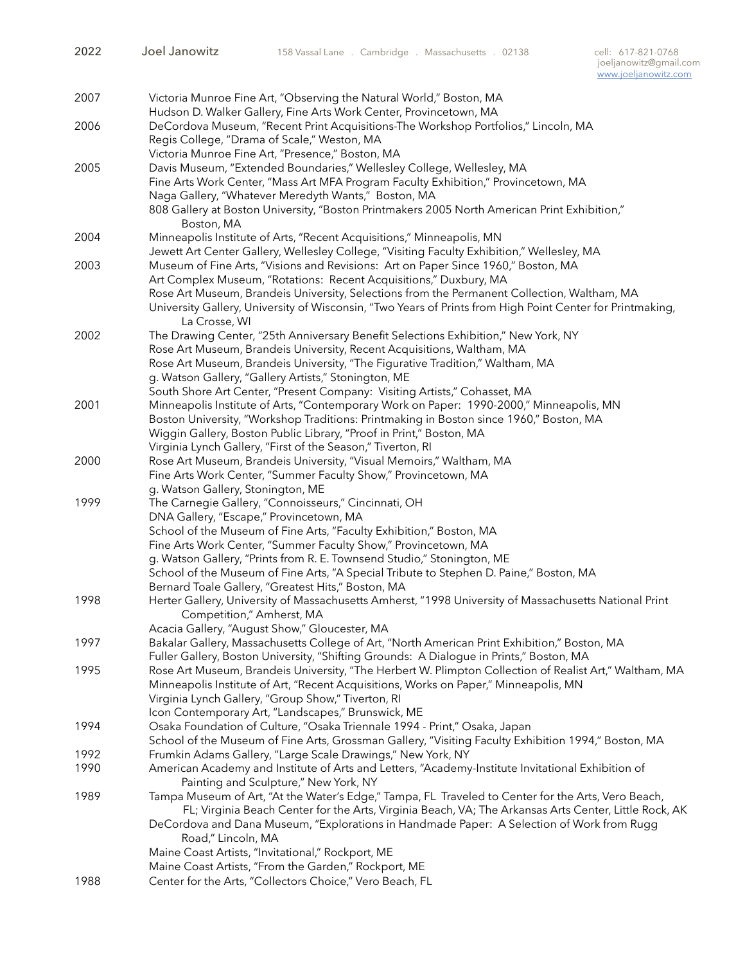| 2007 | Victoria Munroe Fine Art, "Observing the Natural World," Boston, MA                                       |
|------|-----------------------------------------------------------------------------------------------------------|
|      | Hudson D. Walker Gallery, Fine Arts Work Center, Provincetown, MA                                         |
| 2006 | DeCordova Museum, "Recent Print Acquisitions-The Workshop Portfolios," Lincoln, MA                        |
|      | Regis College, "Drama of Scale," Weston, MA                                                               |
|      | Victoria Munroe Fine Art, "Presence," Boston, MA                                                          |
| 2005 | Davis Museum, "Extended Boundaries," Wellesley College, Wellesley, MA                                     |
|      | Fine Arts Work Center, "Mass Art MFA Program Faculty Exhibition," Provincetown, MA                        |
|      | Naga Gallery, "Whatever Meredyth Wants," Boston, MA                                                       |
|      | 808 Gallery at Boston University, "Boston Printmakers 2005 North American Print Exhibition,"              |
|      | Boston, MA                                                                                                |
| 2004 | Minneapolis Institute of Arts, "Recent Acquisitions," Minneapolis, MN                                     |
|      | Jewett Art Center Gallery, Wellesley College, "Visiting Faculty Exhibition," Wellesley, MA                |
| 2003 | Museum of Fine Arts, "Visions and Revisions: Art on Paper Since 1960," Boston, MA                         |
|      | Art Complex Museum, "Rotations: Recent Acquisitions," Duxbury, MA                                         |
|      | Rose Art Museum, Brandeis University, Selections from the Permanent Collection, Waltham, MA               |
|      | University Gallery, University of Wisconsin, "Two Years of Prints from High Point Center for Printmaking, |
|      | La Crosse, WI                                                                                             |
| 2002 | The Drawing Center, "25th Anniversary Benefit Selections Exhibition," New York, NY                        |
|      | Rose Art Museum, Brandeis University, Recent Acquisitions, Waltham, MA                                    |
|      | Rose Art Museum, Brandeis University, "The Figurative Tradition," Waltham, MA                             |
|      | g. Watson Gallery, "Gallery Artists," Stonington, ME                                                      |
|      | South Shore Art Center, "Present Company: Visiting Artists," Cohasset, MA                                 |
| 2001 | Minneapolis Institute of Arts, "Contemporary Work on Paper: 1990-2000," Minneapolis, MN                   |
|      | Boston University, "Workshop Traditions: Printmaking in Boston since 1960," Boston, MA                    |
|      | Wiggin Gallery, Boston Public Library, "Proof in Print," Boston, MA                                       |
|      | Virginia Lynch Gallery, "First of the Season," Tiverton, RI                                               |
| 2000 | Rose Art Museum, Brandeis University, "Visual Memoirs," Waltham, MA                                       |
|      | Fine Arts Work Center, "Summer Faculty Show," Provincetown, MA                                            |
|      | g. Watson Gallery, Stonington, ME                                                                         |
| 1999 | The Carnegie Gallery, "Connoisseurs," Cincinnati, OH                                                      |
|      | DNA Gallery, "Escape," Provincetown, MA                                                                   |
|      | School of the Museum of Fine Arts, "Faculty Exhibition," Boston, MA                                       |
|      | Fine Arts Work Center, "Summer Faculty Show," Provincetown, MA                                            |
|      | g. Watson Gallery, "Prints from R. E. Townsend Studio," Stonington, ME                                    |
|      | School of the Museum of Fine Arts, "A Special Tribute to Stephen D. Paine," Boston, MA                    |
|      | Bernard Toale Gallery, "Greatest Hits," Boston, MA                                                        |
| 1998 | Herter Gallery, University of Massachusetts Amherst, "1998 University of Massachusetts National Print     |
|      | Competition," Amherst, MA                                                                                 |
|      | Acacia Gallery, "August Show," Gloucester, MA                                                             |
| 1997 | Bakalar Gallery, Massachusetts College of Art, "North American Print Exhibition," Boston, MA              |
|      | Fuller Gallery, Boston University, "Shifting Grounds: A Dialogue in Prints," Boston, MA                   |
| 1995 | Rose Art Museum, Brandeis University, "The Herbert W. Plimpton Collection of Realist Art," Waltham, MA    |
|      | Minneapolis Institute of Art, "Recent Acquisitions, Works on Paper," Minneapolis, MN                      |
|      | Virginia Lynch Gallery, "Group Show," Tiverton, RI                                                        |
|      | Icon Contemporary Art, "Landscapes," Brunswick, ME                                                        |
| 1994 | Osaka Foundation of Culture, "Osaka Triennale 1994 - Print," Osaka, Japan                                 |
|      | School of the Museum of Fine Arts, Grossman Gallery, "Visiting Faculty Exhibition 1994," Boston, MA       |
| 1992 | Frumkin Adams Gallery, "Large Scale Drawings," New York, NY                                               |
| 1990 | American Academy and Institute of Arts and Letters, "Academy-Institute Invitational Exhibition of         |
|      | Painting and Sculpture," New York, NY                                                                     |
| 1989 | Tampa Museum of Art, "At the Water's Edge," Tampa, FL Traveled to Center for the Arts, Vero Beach,        |
|      | FL; Virginia Beach Center for the Arts, Virginia Beach, VA; The Arkansas Arts Center, Little Rock, AK     |
|      | DeCordova and Dana Museum, "Explorations in Handmade Paper: A Selection of Work from Rugg                 |
|      | Road," Lincoln, MA                                                                                        |
|      | Maine Coast Artists, "Invitational," Rockport, ME                                                         |
|      | Maine Coast Artists, "From the Garden," Rockport, ME                                                      |
| 1988 | Center for the Arts, "Collectors Choice," Vero Beach, FL                                                  |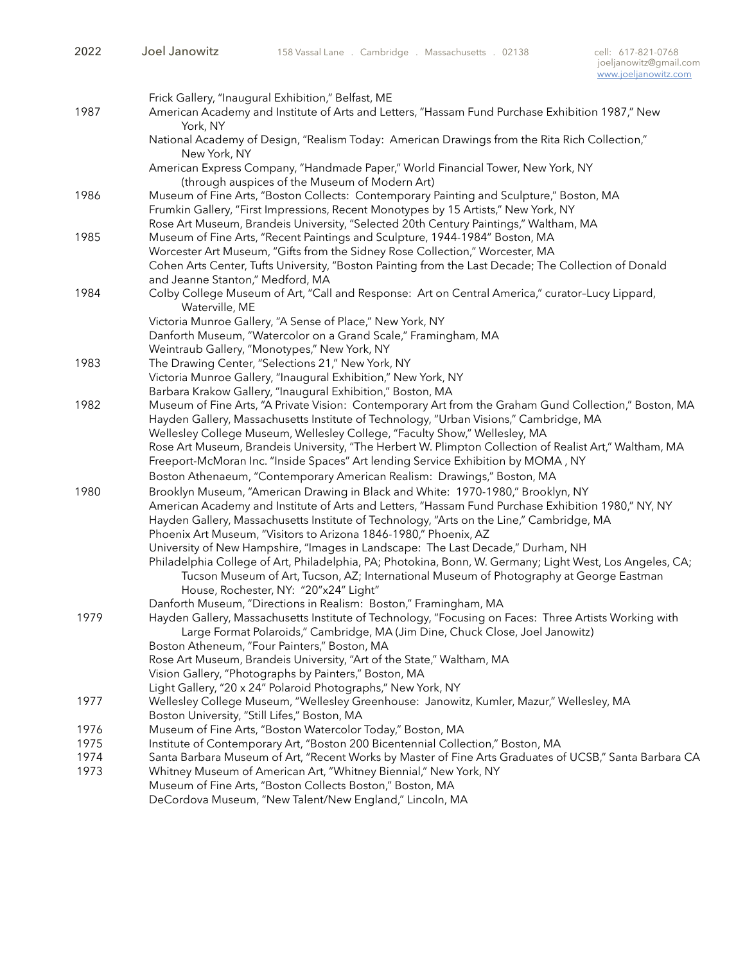|      | Frick Gallery, "Inaugural Exhibition," Belfast, ME                                                                                                                                         |
|------|--------------------------------------------------------------------------------------------------------------------------------------------------------------------------------------------|
| 1987 | American Academy and Institute of Arts and Letters, "Hassam Fund Purchase Exhibition 1987," New<br>York, NY                                                                                |
|      | National Academy of Design, "Realism Today: American Drawings from the Rita Rich Collection,"<br>New York, NY                                                                              |
|      | American Express Company, "Handmade Paper," World Financial Tower, New York, NY<br>(through auspices of the Museum of Modern Art)                                                          |
| 1986 | Museum of Fine Arts, "Boston Collects: Contemporary Painting and Sculpture," Boston, MA                                                                                                    |
|      | Frumkin Gallery, "First Impressions, Recent Monotypes by 15 Artists," New York, NY                                                                                                         |
|      | Rose Art Museum, Brandeis University, "Selected 20th Century Paintings," Waltham, MA                                                                                                       |
| 1985 | Museum of Fine Arts, "Recent Paintings and Sculpture, 1944-1984" Boston, MA                                                                                                                |
|      | Worcester Art Museum, "Gifts from the Sidney Rose Collection," Worcester, MA                                                                                                               |
|      | Cohen Arts Center, Tufts University, "Boston Painting from the Last Decade; The Collection of Donald                                                                                       |
|      | and Jeanne Stanton," Medford, MA                                                                                                                                                           |
| 1984 | Colby College Museum of Art, "Call and Response: Art on Central America," curator-Lucy Lippard,<br>Waterville, ME                                                                          |
|      | Victoria Munroe Gallery, "A Sense of Place," New York, NY                                                                                                                                  |
|      | Danforth Museum, "Watercolor on a Grand Scale," Framingham, MA                                                                                                                             |
|      | Weintraub Gallery, "Monotypes," New York, NY                                                                                                                                               |
| 1983 | The Drawing Center, "Selections 21," New York, NY                                                                                                                                          |
|      | Victoria Munroe Gallery, "Inaugural Exhibition," New York, NY                                                                                                                              |
|      | Barbara Krakow Gallery, "Inaugural Exhibition," Boston, MA                                                                                                                                 |
| 1982 | Museum of Fine Arts, "A Private Vision: Contemporary Art from the Graham Gund Collection," Boston, MA                                                                                      |
|      | Hayden Gallery, Massachusetts Institute of Technology, "Urban Visions," Cambridge, MA                                                                                                      |
|      | Wellesley College Museum, Wellesley College, "Faculty Show," Wellesley, MA                                                                                                                 |
|      | Rose Art Museum, Brandeis University, "The Herbert W. Plimpton Collection of Realist Art," Waltham, MA<br>Freeport-McMoran Inc. "Inside Spaces" Art lending Service Exhibition by MOMA, NY |
|      | Boston Athenaeum, "Contemporary American Realism: Drawings," Boston, MA                                                                                                                    |
|      |                                                                                                                                                                                            |
| 1980 | Brooklyn Museum, "American Drawing in Black and White: 1970-1980," Brooklyn, NY<br>American Academy and Institute of Arts and Letters, "Hassam Fund Purchase Exhibition 1980," NY, NY      |
|      | Hayden Gallery, Massachusetts Institute of Technology, "Arts on the Line," Cambridge, MA                                                                                                   |
|      | Phoenix Art Museum, "Visitors to Arizona 1846-1980," Phoenix, AZ                                                                                                                           |
|      | University of New Hampshire, "Images in Landscape: The Last Decade," Durham, NH                                                                                                            |
|      | Philadelphia College of Art, Philadelphia, PA; Photokina, Bonn, W. Germany; Light West, Los Angeles, CA;                                                                                   |
|      | Tucson Museum of Art, Tucson, AZ; International Museum of Photography at George Eastman                                                                                                    |
|      | House, Rochester, NY: "20"x24" Light"                                                                                                                                                      |
|      | Danforth Museum, "Directions in Realism: Boston," Framingham, MA                                                                                                                           |
| 1979 | Hayden Gallery, Massachusetts Institute of Technology, "Focusing on Faces: Three Artists Working with                                                                                      |
|      | Large Format Polaroids," Cambridge, MA (Jim Dine, Chuck Close, Joel Janowitz)                                                                                                              |
|      | Boston Atheneum, "Four Painters," Boston, MA                                                                                                                                               |
|      | Rose Art Museum, Brandeis University, "Art of the State," Waltham, MA                                                                                                                      |
|      | Vision Gallery, "Photographs by Painters," Boston, MA                                                                                                                                      |
|      | Light Gallery, "20 x 24" Polaroid Photographs," New York, NY                                                                                                                               |
| 1977 | Wellesley College Museum, "Wellesley Greenhouse: Janowitz, Kumler, Mazur," Wellesley, MA                                                                                                   |
|      | Boston University, "Still Lifes," Boston, MA                                                                                                                                               |
| 1976 | Museum of Fine Arts, "Boston Watercolor Today," Boston, MA                                                                                                                                 |
| 1975 | Institute of Contemporary Art, "Boston 200 Bicentennial Collection," Boston, MA                                                                                                            |
| 1974 | Santa Barbara Museum of Art, "Recent Works by Master of Fine Arts Graduates of UCSB," Santa Barbara CA                                                                                     |
| 1973 | Whitney Museum of American Art, "Whitney Biennial," New York, NY                                                                                                                           |
|      | Museum of Fine Arts, "Boston Collects Boston," Boston, MA                                                                                                                                  |
|      | DeCordova Museum, "New Talent/New England," Lincoln, MA                                                                                                                                    |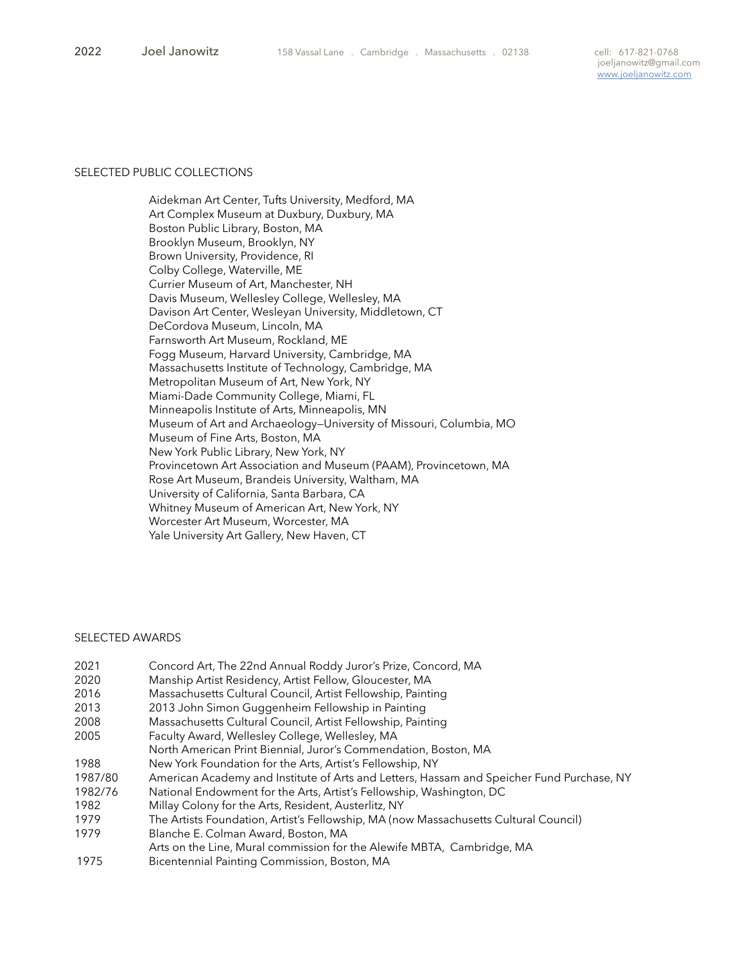#### SELECTED PUBLIC COLLECTIONS

 Aidekman Art Center, Tufts University, Medford, MA Art Complex Museum at Duxbury, Duxbury, MA Boston Public Library, Boston, MA Brooklyn Museum, Brooklyn, NY Brown University, Providence, RI Colby College, Waterville, ME Currier Museum of Art, Manchester, NH Davis Museum, Wellesley College, Wellesley, MA Davison Art Center, Wesleyan University, Middletown, CT DeCordova Museum, Lincoln, MA Farnsworth Art Museum, Rockland, ME Fogg Museum, Harvard University, Cambridge, MA Massachusetts Institute of Technology, Cambridge, MA Metropolitan Museum of Art, New York, NY Miami-Dade Community College, Miami, FL Minneapolis Institute of Arts, Minneapolis, MN Museum of Art and Archaeology—University of Missouri, Columbia, MO Museum of Fine Arts, Boston, MA New York Public Library, New York, NY Provincetown Art Association and Museum (PAAM), Provincetown, MA Rose Art Museum, Brandeis University, Waltham, MA University of California, Santa Barbara, CA Whitney Museum of American Art, New York, NY Worcester Art Museum, Worcester, MA Yale University Art Gallery, New Haven, CT

#### SELECTED AWARDS

| 2021    | Concord Art, The 22nd Annual Roddy Juror's Prize, Concord, MA                             |
|---------|-------------------------------------------------------------------------------------------|
| 2020    | Manship Artist Residency, Artist Fellow, Gloucester, MA                                   |
| 2016    | Massachusetts Cultural Council, Artist Fellowship, Painting                               |
| 2013    | 2013 John Simon Guggenheim Fellowship in Painting                                         |
| 2008    | Massachusetts Cultural Council, Artist Fellowship, Painting                               |
| 2005    | Faculty Award, Wellesley College, Wellesley, MA                                           |
|         | North American Print Biennial, Juror's Commendation, Boston, MA                           |
| 1988    | New York Foundation for the Arts, Artist's Fellowship, NY                                 |
| 1987/80 | American Academy and Institute of Arts and Letters, Hassam and Speicher Fund Purchase, NY |
| 1982/76 | National Endowment for the Arts, Artist's Fellowship, Washington, DC                      |
| 1982    | Millay Colony for the Arts, Resident, Austerlitz, NY                                      |
| 1979    | The Artists Foundation, Artist's Fellowship, MA (now Massachusetts Cultural Council)      |
| 1979    | Blanche E. Colman Award, Boston, MA                                                       |
|         | Arts on the Line, Mural commission for the Alewife MBTA, Cambridge, MA                    |
| 1975    | Bicentennial Painting Commission, Boston, MA                                              |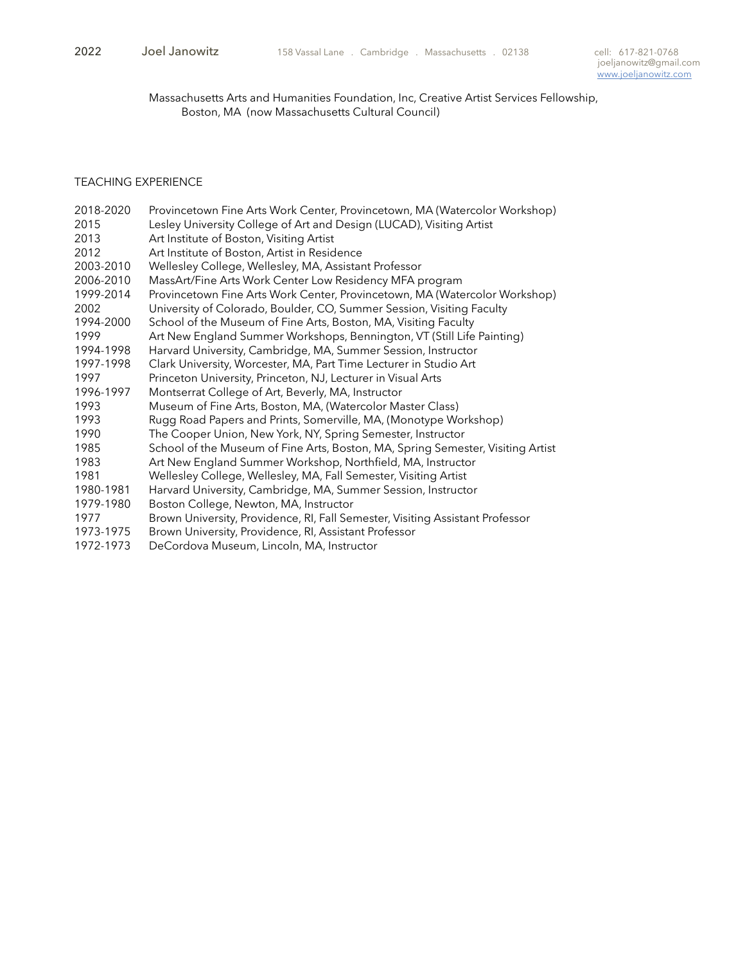Massachusetts Arts and Humanities Foundation, Inc, Creative Artist Services Fellowship, Boston, MA (now Massachusetts Cultural Council)

## TEACHING EXPERIENCE

| 2018-2020 | Provincetown Fine Arts Work Center, Provincetown, MA (Watercolor Workshop)      |
|-----------|---------------------------------------------------------------------------------|
| 2015      | Lesley University College of Art and Design (LUCAD), Visiting Artist            |
| 2013      | Art Institute of Boston, Visiting Artist                                        |
| 2012      | Art Institute of Boston, Artist in Residence                                    |
| 2003-2010 | Wellesley College, Wellesley, MA, Assistant Professor                           |
| 2006-2010 | MassArt/Fine Arts Work Center Low Residency MFA program                         |
| 1999-2014 | Provincetown Fine Arts Work Center, Provincetown, MA (Watercolor Workshop)      |
| 2002      | University of Colorado, Boulder, CO, Summer Session, Visiting Faculty           |
| 1994-2000 | School of the Museum of Fine Arts, Boston, MA, Visiting Faculty                 |
| 1999      | Art New England Summer Workshops, Bennington, VT (Still Life Painting)          |
| 1994-1998 | Harvard University, Cambridge, MA, Summer Session, Instructor                   |
| 1997-1998 | Clark University, Worcester, MA, Part Time Lecturer in Studio Art               |
| 1997      | Princeton University, Princeton, NJ, Lecturer in Visual Arts                    |
| 1996-1997 | Montserrat College of Art, Beverly, MA, Instructor                              |
| 1993      | Museum of Fine Arts, Boston, MA, (Watercolor Master Class)                      |
| 1993      | Rugg Road Papers and Prints, Somerville, MA, (Monotype Workshop)                |
| 1990      | The Cooper Union, New York, NY, Spring Semester, Instructor                     |
| 1985      | School of the Museum of Fine Arts, Boston, MA, Spring Semester, Visiting Artist |
| 1983      | Art New England Summer Workshop, Northfield, MA, Instructor                     |
| 1981      | Wellesley College, Wellesley, MA, Fall Semester, Visiting Artist                |
| 1980-1981 | Harvard University, Cambridge, MA, Summer Session, Instructor                   |
| 1979-1980 | Boston College, Newton, MA, Instructor                                          |
| 1977      | Brown University, Providence, RI, Fall Semester, Visiting Assistant Professor   |
| 1973-1975 | Brown University, Providence, RI, Assistant Professor                           |
| 1972-1973 | DeCordova Museum, Lincoln, MA, Instructor                                       |